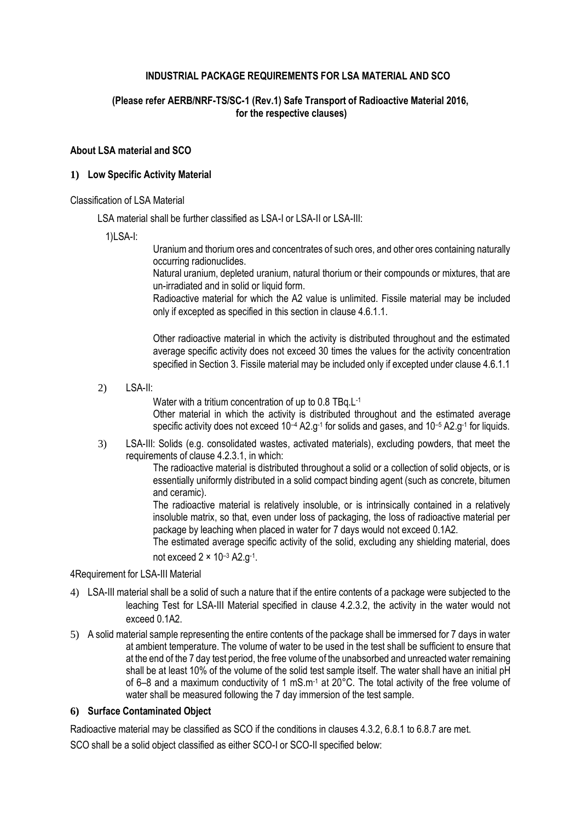## **INDUSTRIAL PACKAGE REQUIREMENTS FOR LSA MATERIAL AND SCO**

### **(Please refer AERB/NRF-TS/SC-1 (Rev.1) [Safe Transport of Radioactive Material 2](http://www.aerb.gov.in/AERBPortal/pages/English/t/publications/CODESGUIDES/RF-TR-SC-1.pdf)016, for the respective clauses)**

#### **About LSA material and SCO**

### **1) Low Specific Activity Material**

### Classification of LSA Material

LSA material shall be further classified as LSA-I or LSA-II or LSA-III:

1)LSA-I:

Uranium and thorium ores and concentrates of such ores, and other ores containing naturally occurring radionuclides.

Natural uranium, depleted uranium, natural thorium or their compounds or mixtures, that are un-irradiated and in solid or liquid form.

Radioactive material for which the A2 value is unlimited. Fissile material may be included only if excepted as specified in this section in clause 4.6.1.1.

Other radioactive material in which the activity is distributed throughout and the estimated average specific activity does not exceed 30 times the values for the activity concentration specified in Section 3. Fissile material may be included only if excepted under clause 4.6.1.1

2) LSA-II:

Water with a tritium concentration of up to 0.8 TBq.L<sup>-1</sup>

Other material in which the activity is distributed throughout and the estimated average specific activity does not exceed 10<sup>-4</sup> A2.g<sup>-1</sup> for solids and gases, and 10<sup>-5</sup> A2.g<sup>-1</sup> for liquids.

3) LSA-III: Solids (e.g. consolidated wastes, activated materials), excluding powders, that meet the requirements of clause 4.2.3.1, in which:

> The radioactive material is distributed throughout a solid or a collection of solid objects, or is essentially uniformly distributed in a solid compact binding agent (such as concrete, bitumen and ceramic).

> The radioactive material is relatively insoluble, or is intrinsically contained in a relatively insoluble matrix, so that, even under loss of packaging, the loss of radioactive material per package by leaching when placed in water for 7 days would not exceed 0.1A2.

> The estimated average specific activity of the solid, excluding any shielding material, does not exceed 2 × 10–<sup>3</sup> A2.g-1 .

### 4Requirement for LSA-III Material

- 4) LSA-III material shall be a solid of such a nature that if the entire contents of a package were subjected to the leaching Test for LSA-III Material specified in clause 4.2.3.2, the activity in the water would not exceed 0.1A2.
- 5) A solid material sample representing the entire contents of the package shall be immersed for 7 days in water at ambient temperature. The volume of water to be used in the test shall be sufficient to ensure that at the end of the 7 day test period, the free volume of the unabsorbed and unreacted water remaining shall be at least 10% of the volume of the solid test sample itself. The water shall have an initial pH of 6–8 and a maximum conductivity of 1 mS.m<sup>-1</sup> at 20 $^{\circ}$ C. The total activity of the free volume of water shall be measured following the 7 day immersion of the test sample.

## **6) Surface Contaminated Object**

Radioactive material may be classified as SCO if the conditions in clauses 4.3.2, 6.8.1 to 6.8.7 are met.

SCO shall be a solid object classified as either SCO-I or SCO-II specified below: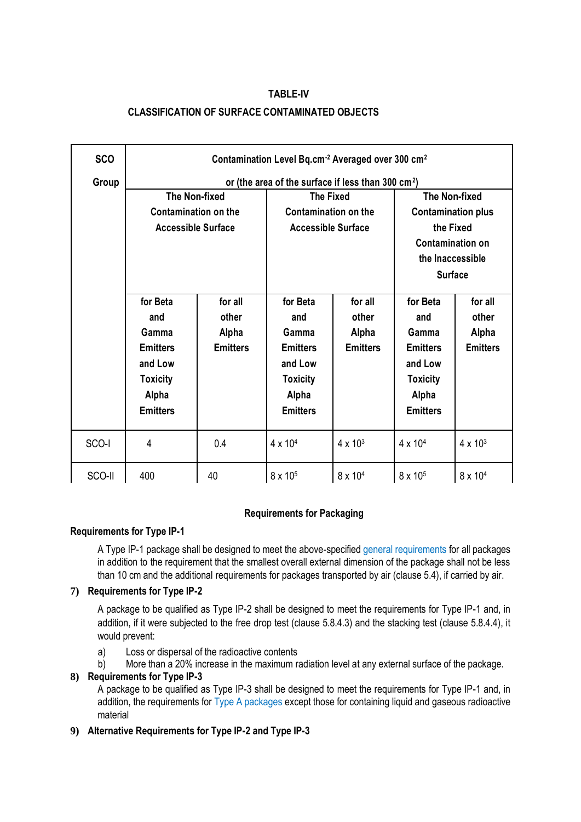# **TABLE-IV CLASSIFICATION OF SURFACE CONTAMINATED OBJECTS**

| <b>SCO</b> | Contamination Level Bq.cm <sup>-2</sup> Averaged over 300 cm <sup>2</sup> |                 |                                                 |                         |                                                   |                     |
|------------|---------------------------------------------------------------------------|-----------------|-------------------------------------------------|-------------------------|---------------------------------------------------|---------------------|
| Group      | or (the area of the surface if less than 300 cm <sup>2</sup> )            |                 |                                                 |                         |                                                   |                     |
|            | <b>The Non-fixed</b><br><b>Contamination on the</b>                       |                 | <b>The Fixed</b><br><b>Contamination on the</b> |                         | <b>The Non-fixed</b><br><b>Contamination plus</b> |                     |
|            |                                                                           |                 |                                                 |                         |                                                   |                     |
|            | <b>Accessible Surface</b>                                                 |                 | <b>Accessible Surface</b>                       |                         | the Fixed                                         |                     |
|            |                                                                           |                 |                                                 | <b>Contamination on</b> |                                                   |                     |
|            |                                                                           |                 |                                                 |                         | the Inaccessible                                  |                     |
|            |                                                                           |                 |                                                 |                         | <b>Surface</b>                                    |                     |
|            |                                                                           |                 |                                                 |                         |                                                   |                     |
|            | for Beta                                                                  | for all         | for Beta                                        | for all                 | for Beta                                          | for all             |
|            | and                                                                       | other           | and                                             | other                   | and                                               | other               |
|            | Gamma                                                                     | Alpha           | Gamma                                           | Alpha                   | Gamma                                             | <b>Alpha</b>        |
|            | <b>Emitters</b>                                                           | <b>Emitters</b> | <b>Emitters</b>                                 | <b>Emitters</b>         | <b>Emitters</b>                                   | <b>Emitters</b>     |
|            | and Low                                                                   |                 | and Low                                         |                         | and Low                                           |                     |
|            |                                                                           |                 |                                                 |                         |                                                   |                     |
|            | <b>Toxicity</b>                                                           |                 | <b>Toxicity</b>                                 |                         | <b>Toxicity</b>                                   |                     |
|            | Alpha                                                                     |                 | Alpha                                           |                         | Alpha                                             |                     |
|            | <b>Emitters</b>                                                           |                 | <b>Emitters</b>                                 |                         | <b>Emitters</b>                                   |                     |
|            |                                                                           |                 |                                                 |                         |                                                   |                     |
| SCO-I      | 4                                                                         | 0.4             | $4 \times 10^{4}$                               | $4 \times 10^{3}$       | $4 \times 10^{4}$                                 | $4 \times 10^{3}$   |
| SCO-II     | 400                                                                       | 40              | 8 x 10 <sup>5</sup>                             | 8 x 10 <sup>4</sup>     | 8 x 10 <sup>5</sup>                               | 8 x 10 <sup>4</sup> |

## **Requirements for Packaging**

## **Requirements for Type IP-1**

A Type IP-1 package shall be designed to meet the above-specified general requirements for all packages in addition to the requirement that the smallest overall external dimension of the package shall not be less than 10 cm and the additional requirements for packages transported by air (clause 5.4), if carried by air.

## **7) Requirements for Type IP-2**

A package to be qualified as Type IP-2 shall be designed to meet the requirements for Type IP-1 and, in addition, if it were subjected to the free drop test (clause 5.8.4.3) and the stacking test (clause 5.8.4.4), it would prevent:

- a) Loss or dispersal of the radioactive contents
- b) More than a 20% increase in the maximum radiation level at any external surface of the package.

## **8) Requirements for Type IP-3**

A package to be qualified as Type IP-3 shall be designed to meet the requirements for Type IP-1 and, in addition, the requirements for Type A packages except those for containing liquid and gaseous radioactive material

## **9) Alternative Requirements for Type IP-2 and Type IP-3**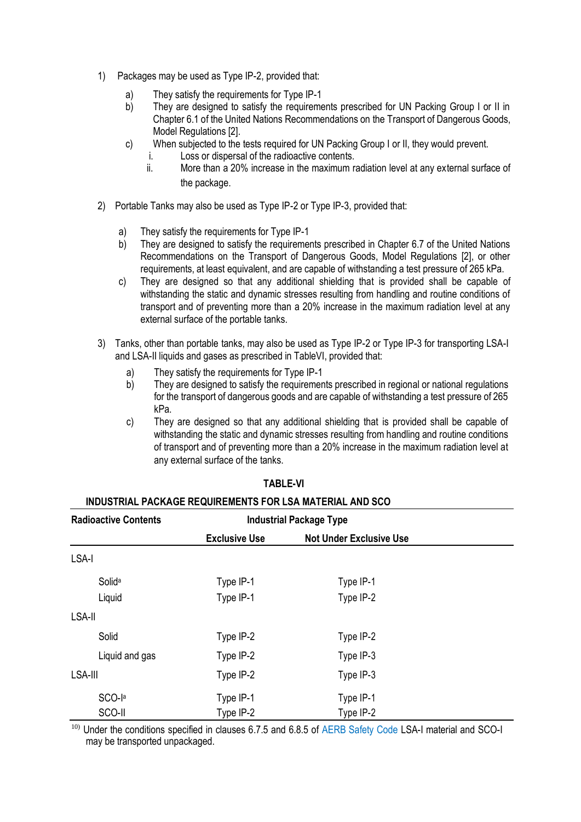- 1) Packages may be used as Type IP-2, provided that:
	- a) They satisfy the requirements for Type IP-1
	- b) They are designed to satisfy the requirements prescribed for UN Packing Group I or II in Chapter 6.1 of the United Nations Recommendations on the Transport of Dangerous Goods, Model Regulations [2].
	- c) When subjected to the tests required for UN Packing Group I or II, they would prevent.
		- i. Loss or dispersal of the radioactive contents.
		- ii. More than a 20% increase in the maximum radiation level at any external surface of the package.
- 2) Portable Tanks may also be used as Type IP-2 or Type IP-3, provided that:
	- a) They satisfy the requirements for Type IP-1
	- b) They are designed to satisfy the requirements prescribed in Chapter 6.7 of the United Nations Recommendations on the Transport of Dangerous Goods, Model Regulations [2], or other requirements, at least equivalent, and are capable of withstanding a test pressure of 265 kPa.
	- c) They are designed so that any additional shielding that is provided shall be capable of withstanding the static and dynamic stresses resulting from handling and routine conditions of transport and of preventing more than a 20% increase in the maximum radiation level at any external surface of the portable tanks.
- 3) Tanks, other than portable tanks, may also be used as Type IP-2 or Type IP-3 for transporting LSA-I and LSA-II liquids and gases as prescribed in TableVI, provided that:
	- a) They satisfy the requirements for Type IP-1
	- b) They are designed to satisfy the requirements prescribed in regional or national regulations for the transport of dangerous goods and are capable of withstanding a test pressure of 265 kPa.
	- c) They are designed so that any additional shielding that is provided shall be capable of withstanding the static and dynamic stresses resulting from handling and routine conditions of transport and of preventing more than a 20% increase in the maximum radiation level at any external surface of the tanks.

| <b>Radioactive Contents</b> | <b>Industrial Package Type</b> |                                |  |
|-----------------------------|--------------------------------|--------------------------------|--|
|                             | <b>Exclusive Use</b>           | <b>Not Under Exclusive Use</b> |  |
| LSA-I                       |                                |                                |  |
| Solida                      | Type IP-1                      | Type IP-1                      |  |
| Liquid                      | Type IP-1                      | Type IP-2                      |  |
| LSA-II                      |                                |                                |  |
| Solid                       | Type IP-2                      | Type IP-2                      |  |
| Liquid and gas              | Type IP-2                      | Type IP-3                      |  |
| LSA-III                     | Type IP-2                      | Type IP-3                      |  |
| SCO-la                      | Type IP-1                      | Type IP-1                      |  |
| SCO-II                      | Type IP-2                      | Type IP-2                      |  |

#### **TABLE-VI**

#### **INDUSTRIAL PACKAGE REQUIREMENTS FOR LSA MATERIAL AND SCO**

<sup>10)</sup> Under the conditions specified in clauses 6.7.5 and 6.8.5 of AERB Safety Code LSA-I material and SCO-I may be transported unpackaged.